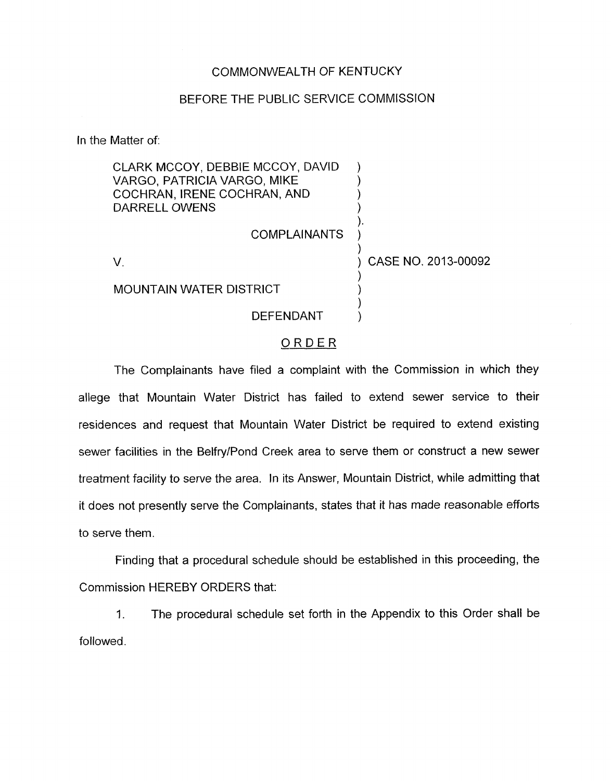#### COMMONWEALTH OF KENTUCKY

#### BEFORE THE PUBLIC SERVICE COMMISSION

In the Matter of:

| CLARK MCCOY, DEBBIE MCCOY, DAVID<br>VARGO, PATRICIA VARGO, MIKE<br>COCHRAN, IRENE COCHRAN, AND<br>DARRELL OWENS |                     |                     |
|-----------------------------------------------------------------------------------------------------------------|---------------------|---------------------|
|                                                                                                                 | <b>COMPLAINANTS</b> |                     |
|                                                                                                                 |                     | CASE NO. 2013-00092 |
| <b>MOUNTAIN WATER DISTRICT</b>                                                                                  |                     |                     |
|                                                                                                                 | DEFENDANT           |                     |

### ORDER

The Complainants have filed a complaint with the Commission in which they allege that Mountain Water District has failed to extend sewer service to their residences and request that Mountain Water District be required to extend existing sewer facilities in the Belfry/Pond Creek area to serve them or construct a new sewer treatment facility to serve the area. In its Answer, Mountain District, while admitting that it does not presently serve the Complainants, states that it has made reasonable efforts to serve them.

Finding that a procedural schedule should be established in this proceeding, the Commission HEREBY ORDERS that:

1. followed. The procedural schedule set forth in the Appendix to this Order shall be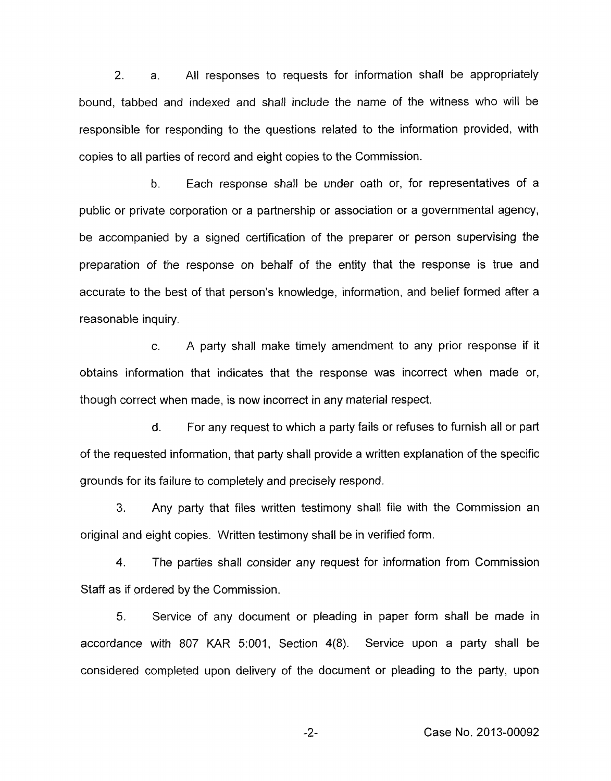*2.* a. All responses to requests for information shall be appropriately bound, tabbed and indexed and shall include the name of the witness who will be responsible for responding to the questions related to the information provided, with copies to all parties of record and eight copies to the Commission.

b. Each response shall be under oath or, for representatives of a public or private corporation or a partnership or association or a governmental agency, be accompanied by a signed certification of the preparer or person supervising the preparation of the response on behalf of the entity that the response is true and accurate to the best of that person's knowledge, information, and belief formed after a reasonable inquiry.

c. A party shall make timely amendment to any prior response if it obtains information that indicates that the response was incorrect when made or, though correct when made, is now incorrect in any material respect.

d. For any request to which a party fails or refuses to furnish all or part of the requested information, that party shall provide a written explanation of the specific grounds for its failure to completely and precisely respond.

**3.** Any party that files written testimony shall file with the Commission an original and eight copies. Written testimony shall be in verified form.

**4.** The parties shall consider any request for information from Commission Staff as if ordered by the Commission.

5. Service of any document or pleading in paper form shall be made in accordance with 807 KAR 5:001, Section 4(8). Service upon a party shall be considered completed upon delivery of the document or pleading to the party, upon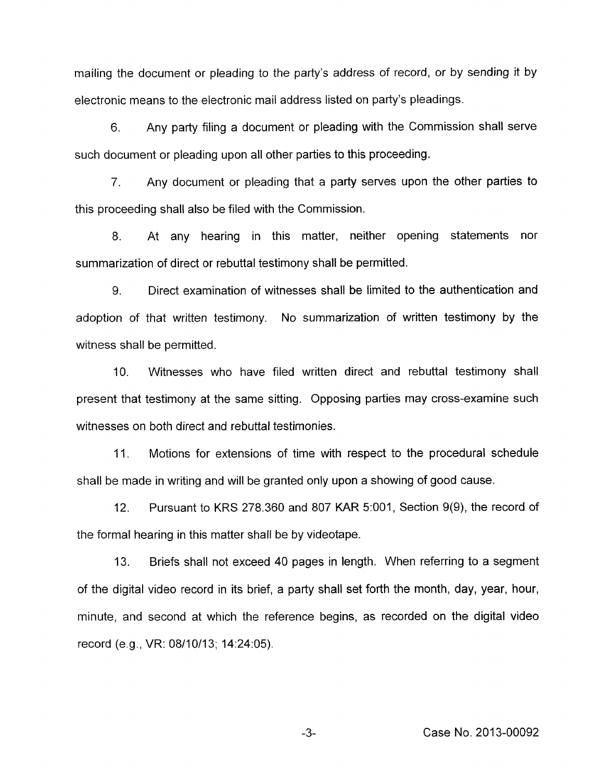mailing the document or pleading to the party's address of record, or by sending it by electronic means to the electronic mail address listed on party's pleadings.

6. Any party filing a document or pleading with the Commission shall serve such document or pleading upon all other parties to this proceeding.

*7.* Any document or pleading that a party serves upon the other parties to this proceeding shall also be filed with the Commission.

8. At any hearing in this matter, neither opening statements nor summarization of direct or rebuttal testimony shall be permitted.

9. Direct examination of witnesses shall be limited to the authentication and adoption of that written testimony. **No** summarization of written testimony by the witness shall be permitted.

IO. Witnesses who have filed written direct and rebuttal testimony shall present that testimony at the same sitting. Opposing parties may cross-examine such witnesses on both direct and rebuttal testimonies.

11. Motions for extensions of time with respect to the procedural schedule shall be made in writing and will be granted only upon a showing of good cause.

12. Pursuant to KRS 278.360 and 807 KAR 5:001, Section 9(9), the record of the formal hearing in this matter shall be by videotape.

**13.** Briefs shall not exceed 40 pages in length. When referring to a segment of the digital video record in its brief, a party shall set forth the month, day, year, hour, minute, and second at which the reference begins, as recorded on the digital video record (e.g., VR: 08/10/13; 14:24:05).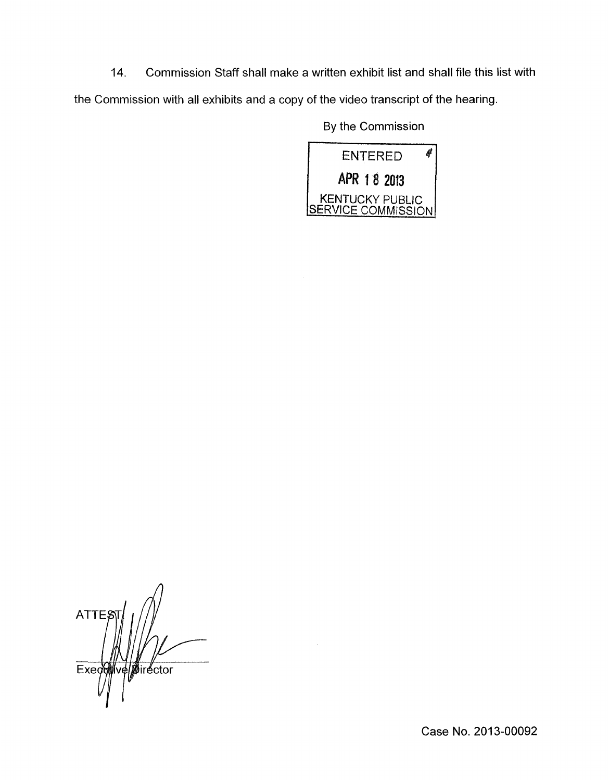**14.** Commission Staff shall make a written exhibit list and shall file this list with

the Commission with all exhibits and a copy of the video transcript of the hearing.

By the Commission



**ATTE** Execomversivector

Case No. 2013-00092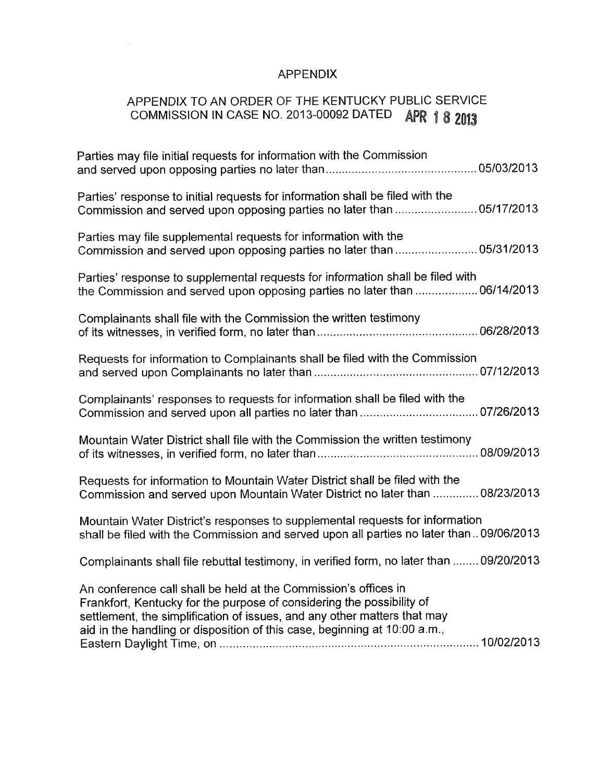## APPENDIX

 $\mathcal{L}_{\rm{eff}}$ 

# APPENDIX TO AN ORDER OF THE KENTUCKY PUBLIC SERVICE AFFENDIA TO AN OTOLICAL OF THE TEXT OF THE RAPR 18 2013

| Parties may file initial requests for information with the Commission                                                                                                                                                                                                                             |
|---------------------------------------------------------------------------------------------------------------------------------------------------------------------------------------------------------------------------------------------------------------------------------------------------|
| Parties' response to initial requests for information shall be filed with the<br>Commission and served upon opposing parties no later than  05/17/2013                                                                                                                                            |
| Parties may file supplemental requests for information with the<br>Commission and served upon opposing parties no later than  05/31/2013                                                                                                                                                          |
| Parties' response to supplemental requests for information shall be filed with<br>the Commission and served upon opposing parties no later than  06/14/2013                                                                                                                                       |
| Complainants shall file with the Commission the written testimony                                                                                                                                                                                                                                 |
| Requests for information to Complainants shall be filed with the Commission                                                                                                                                                                                                                       |
| Complainants' responses to requests for information shall be filed with the                                                                                                                                                                                                                       |
| Mountain Water District shall file with the Commission the written testimony                                                                                                                                                                                                                      |
| Requests for information to Mountain Water District shall be filed with the<br>Commission and served upon Mountain Water District no later than  08/23/2013                                                                                                                                       |
| Mountain Water District's responses to supplemental requests for information<br>shall be filed with the Commission and served upon all parties no later than09/06/2013                                                                                                                            |
| Complainants shall file rebuttal testimony, in verified form, no later than  09/20/2013                                                                                                                                                                                                           |
| An conference call shall be held at the Commission's offices in<br>Frankfort, Kentucky for the purpose of considering the possibility of<br>settlement, the simplification of issues, and any other matters that may<br>aid in the handling or disposition of this case, beginning at 10:00 a.m., |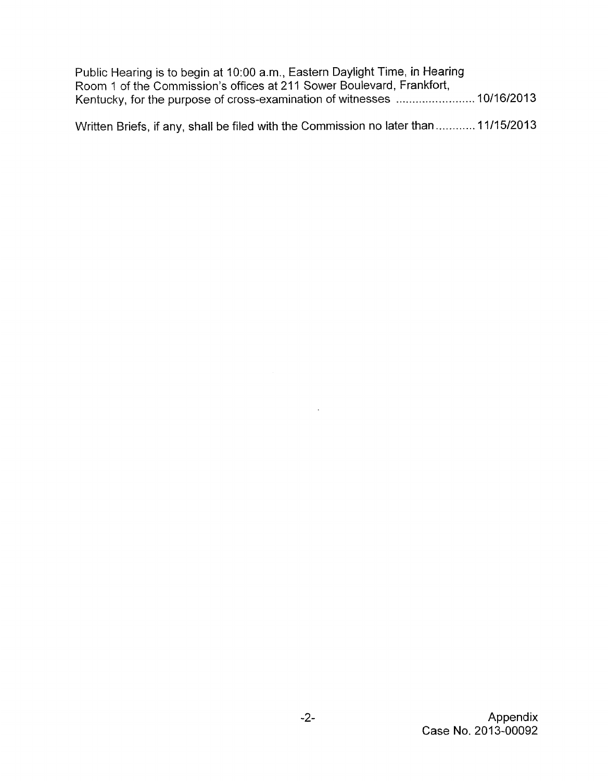| Public Hearing is to begin at 10:00 a.m., Eastern Daylight Time, in Hearing |  |
|-----------------------------------------------------------------------------|--|
| Room 1 of the Commission's offices at 211 Sower Boulevard, Frankfort,       |  |
|                                                                             |  |
|                                                                             |  |

Written Briefs, if any, shall be filed with the Commission no later than ............ 11/15/2013

 $\sim 10^{-10}$